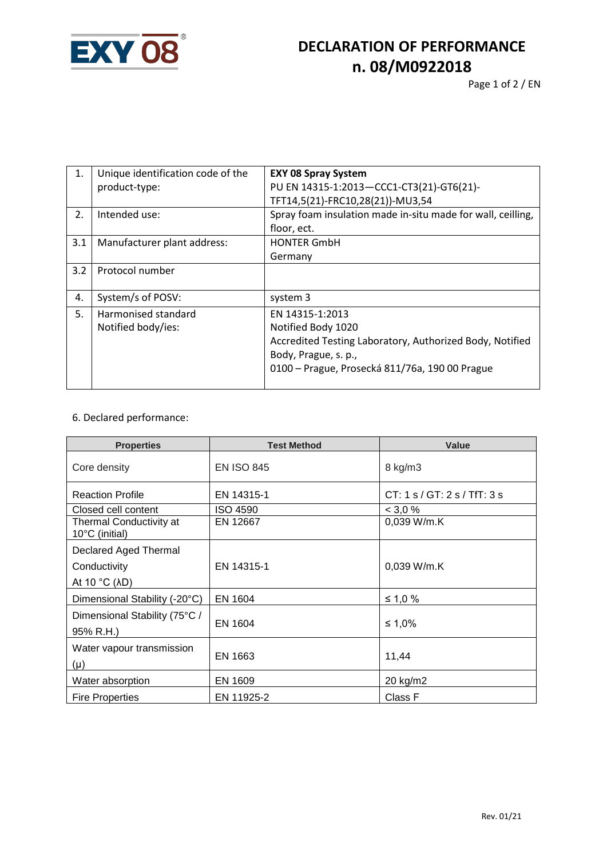

## **DECLARATION OF PERFORMANCE n. 08/M0922018**

| 1.  | Unique identification code of the<br>product-type: | <b>EXY 08 Spray System</b><br>PU EN 14315-1:2013-CCC1-CT3(21)-GT6(21)- |  |
|-----|----------------------------------------------------|------------------------------------------------------------------------|--|
|     |                                                    | TFT14,5(21)-FRC10,28(21))-MU3,54                                       |  |
| 2.  | Intended use:                                      | Spray foam insulation made in-situ made for wall, ceilling,            |  |
|     |                                                    | floor, ect.                                                            |  |
| 3.1 | Manufacturer plant address:                        | <b>HONTER GmbH</b>                                                     |  |
|     |                                                    | Germany                                                                |  |
| 3.2 | Protocol number                                    |                                                                        |  |
| 4.  | System/s of POSV:                                  | system 3                                                               |  |
| 5.  | Harmonised standard                                | EN 14315-1:2013                                                        |  |
|     | Notified body/ies:                                 | Notified Body 1020                                                     |  |
|     |                                                    | Accredited Testing Laboratory, Authorized Body, Notified               |  |
|     |                                                    | Body, Prague, s. p.,                                                   |  |
|     |                                                    | 0100 – Prague, Prosecká 811/76a, 190 00 Prague                         |  |

## 6. Declared performance:

| <b>Properties</b>                         | <b>Test Method</b> | <b>Value</b>                 |
|-------------------------------------------|--------------------|------------------------------|
| Core density                              | <b>EN ISO 845</b>  | 8 kg/m3                      |
| <b>Reaction Profile</b>                   | EN 14315-1         | CT: 1 s / GT: 2 s / TfT: 3 s |
| Closed cell content                       | <b>ISO 4590</b>    | < 3.0 %                      |
| Thermal Conductivity at<br>10°C (initial) | EN 12667           | 0,039 W/m.K                  |
| Declared Aged Thermal                     |                    |                              |
| Conductivity                              | EN 14315-1         | $0,039$ W/m.K                |
| At 10 $^{\circ}$ C ( $\lambda$ D)         |                    |                              |
| Dimensional Stability (-20°C)             | EN 1604            | ≤ 1,0 %                      |
| Dimensional Stability (75°C /             |                    |                              |
| 95% R.H.)                                 | EN 1604            | ≤ 1,0%                       |
| Water vapour transmission                 |                    |                              |
| $(\mu)$                                   | EN 1663            | 11,44                        |
| Water absorption                          | EN 1609            | 20 kg/m2                     |
| <b>Fire Properties</b>                    | EN 11925-2         | Class F                      |